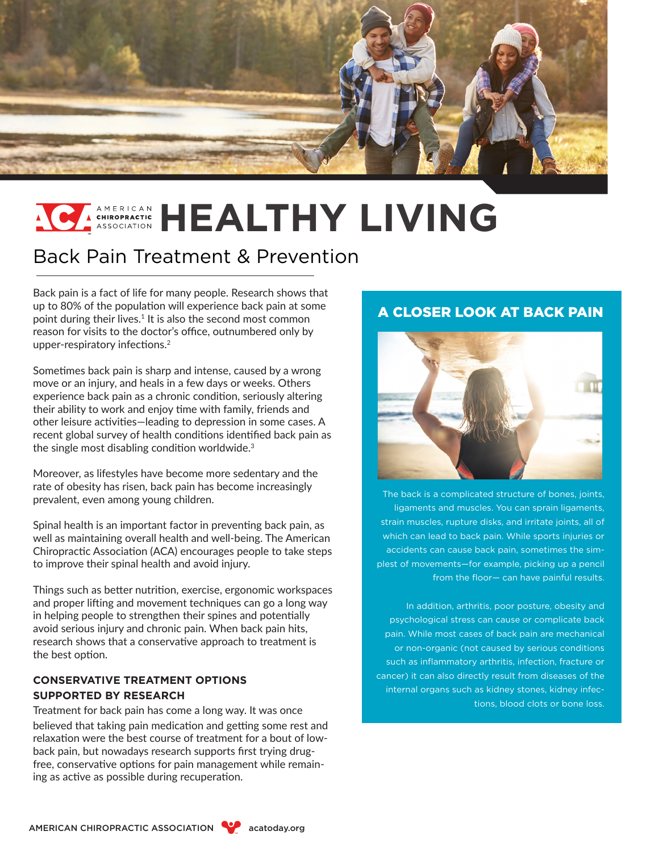

# **EXISOPRACTIC HEALTHY LIVING**

## Back Pain Treatment & Prevention

Back pain is a fact of life for many people. Research shows that up to 80% of the population will experience back pain at some point during their lives.<sup>1</sup> It is also the second most common reason for visits to the doctor's office, outnumbered only by upper-respiratory infections.<sup>2</sup>

Sometimes back pain is sharp and intense, caused by a wrong move or an injury, and heals in a few days or weeks. Others experience back pain as a chronic condition, seriously altering their ability to work and enjoy time with family, friends and other leisure activities—leading to depression in some cases. A recent global survey of health conditions identified back pain as the single most disabling condition worldwide.<sup>3</sup>

Moreover, as lifestyles have become more sedentary and the rate of obesity has risen, back pain has become increasingly prevalent, even among young children.

Spinal health is an important factor in preventing back pain, as well as maintaining overall health and well-being. The American Chiropractic Association (ACA) encourages people to take steps to improve their spinal health and avoid injury.

Things such as better nutrition, exercise, ergonomic workspaces and proper lifting and movement techniques can go a long way in helping people to strengthen their spines and potentially avoid serious injury and chronic pain. When back pain hits, research shows that a conservative approach to treatment is the best option.

### **CONSERVATIVE TREATMENT OPTIONS SUPPORTED BY RESEARCH**

Treatment for back pain has come a long way. It was once believed that taking pain medication and getting some rest and relaxation were the best course of treatment for a bout of lowback pain, but nowadays research supports first trying drugfree, conservative options for pain management while remaining as active as possible during recuperation.

## A CLOSER LOOK AT BACK PAIN



The back is a complicated structure of bones, joints, ligaments and muscles. You can sprain ligaments, strain muscles, rupture disks, and irritate joints, all of which can lead to back pain. While sports injuries or accidents can cause back pain, sometimes the simplest of movements—for example, picking up a pencil from the floor— can have painful results.

In addition, arthritis, poor posture, obesity and psychological stress can cause or complicate back pain. While most cases of back pain are mechanical or non-organic (not caused by serious conditions such as inflammatory arthritis, infection, fracture or cancer) it can also directly result from diseases of the internal organs such as kidney stones, kidney infections, blood clots or bone loss.